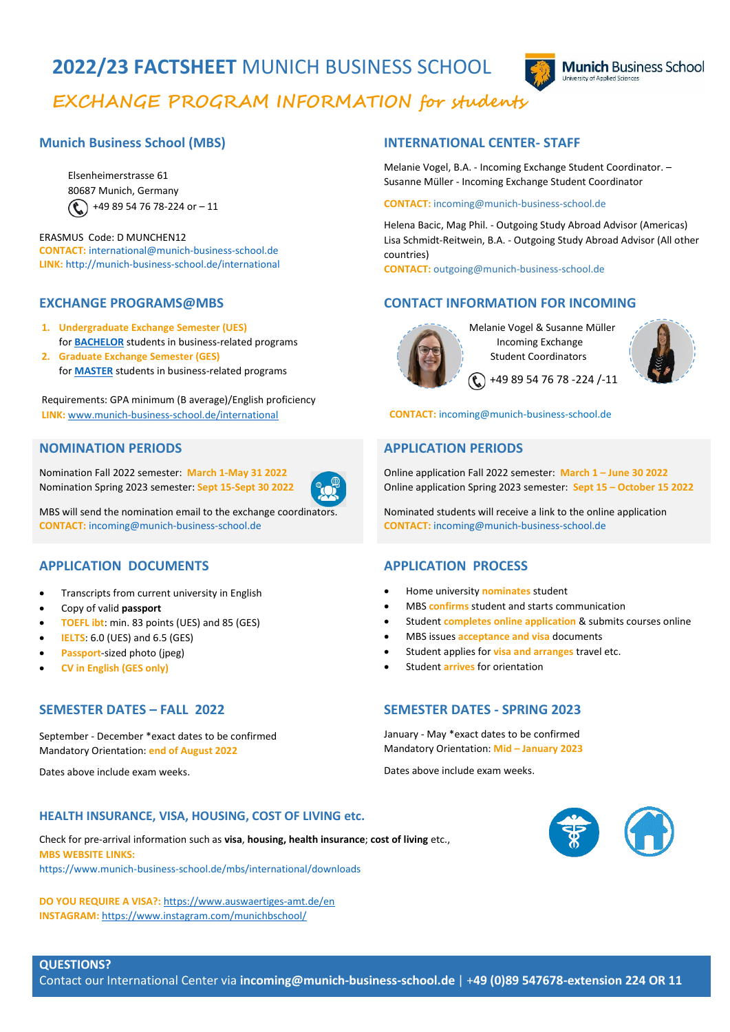# **2022/23 FACTSHEET** MUNICH BUSINESS SCHOOL **EXCHANGE PROGRAM INFORMATION for students**



## **Munich Business School (MBS)**

Elsenheimerstrasse 61 80687 Munich, Germany  $\left(\begin{array}{c} \bullet \\ \bullet \end{array}\right)$  +49 89 54 76 78-224 or - 11

### ERASMUS Code: D MUNCHEN12 **CONTACT:** [international@munich-business-school.de](mailto:international@munich-business-school.de) **LINK:** <http://munich-business-school.de/international>

### **EXCHANGE PROGRAMS@MBS**

- **1. Undergraduate Exchange Semester (UES)**  for **[BACHELOR](https://www.munich-business-school.de/en/mbs/international/incoming-exchange)** students in business-related programs
- **2. Graduate Exchange Semester (GES)** for **[MASTER](https://www.munich-business-school.de/en/mbs/international/incoming-exchange)** students in business-related programs

Requirements: GPA minimum (B average)/English proficiency **LINK:** [www.munich-business-school.de/international](http://www.munich-business-school.de/international)

### **NOMINATION PERIODS**

Nomination Fall 2022 semester: **March 1-May 31 2022** Nomination Spring 2023 semester: **Sept 15-Sept 30 2022**



MBS will send the nomination email to the exchange coordinator **CONTACT:** [incoming@munich-business-school.de](mailto:incoming@munich-business-school.de)

### **APPLICATION DOCUMENTS**

- Transcripts from current university in English
- Copy of valid **passport**
- **TOEFL ibt**: min. 83 points (UES) and 85 (GES)
- **IELTS**: 6.0 (UES) and 6.5 (GES)
- **Passport**-sized photo (jpeg)
- **CV in English (GES only)**

### **SEMESTER DATES – FALL 2022**

September - December \*exact dates to be confirmed Mandatory Orientation: **end of August 2022**

Dates above include exam weeks.

## **INTERNATIONAL CENTER- STAFF**

Melanie Vogel, B.A. - Incoming Exchange Student Coordinator. – Susanne Müller - Incoming Exchange Student Coordinator

### **CONTACT:** incoming@munich-business-school.de

Helena Bacic, Mag Phil. - Outgoing Study Abroad Advisor (Americas) Lisa Schmidt-Reitwein, B.A. - Outgoing Study Abroad Advisor (All other countries)

**CONTACT:** outgoing@munich-business-school.de

## **CONTACT INFORMATION FOR INCOMING**



 Melanie Vogel & Susanne Müller Incoming Exchange Student Coordinators

 $\binom{2}{1}$  +49 89 54 76 78 -224 /-11



### **CONTACT:** incoming@munich-business-school.de

### **APPLICATION PERIODS**

Online application Fall 2022 semester: **March 1 – June 30 2022** Online application Spring 2023 semester: **Sept 15 – October 15 2022**

Nominated students will receive a link to the online application **CONTACT:** [incoming@munich-business-school.de](mailto:incoming@munich-business-school.de)

### **APPLICATION PROCESS**

- Home university **nominates** student
- MBS **confirms** student and starts communication
- Student **completes online application** & submits courses online
- MBS issues **acceptance and visa** documents
- Student applies for **visa and arranges** travel etc.
- Student **arrives** for orientation

## **SEMESTER DATES - SPRING 2023**

January - May \*exact dates to be confirmed Mandatory Orientation: **Mid – January 2023**

Dates above include exam weeks.

### **HEALTH INSURANCE, VISA, HOUSING, COST OF LIVING etc.**

Check for pre-arrival information such as **visa**, **housing, health insurance**; **cost of living** etc., **MBS WEBSITE LINKS:** <https://www.munich-business-school.de/mbs/international/downloads>

**DO YOU REQUIRE A VISA?:** <https://www.auswaertiges-amt.de/en> **INSTAGRAM:** <https://www.instagram.com/munichbschool/>